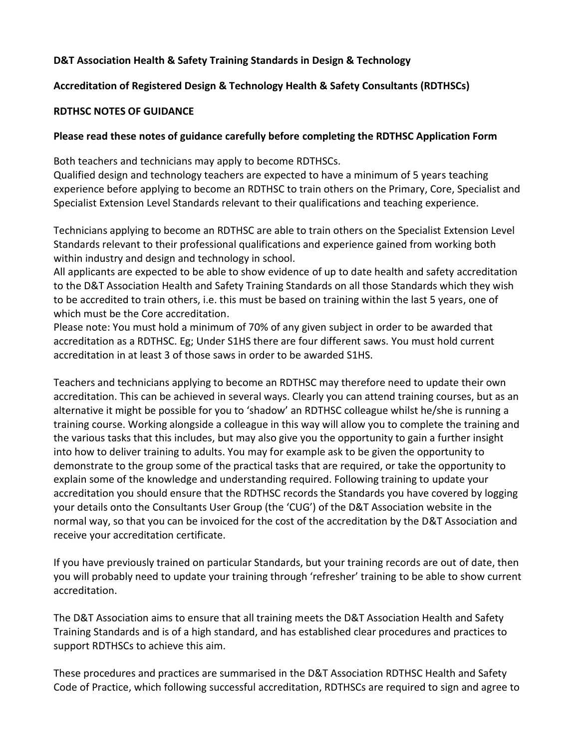### **D&T Association Health & Safety Training Standards in Design & Technology**

#### **Accreditation of Registered Design & Technology Health & Safety Consultants (RDTHSCs)**

#### **RDTHSC NOTES OF GUIDANCE**

#### **Please read these notes of guidance carefully before completing the RDTHSC Application Form**

Both teachers and technicians may apply to become RDTHSCs.

Qualified design and technology teachers are expected to have a minimum of 5 years teaching experience before applying to become an RDTHSC to train others on the Primary, Core, Specialist and Specialist Extension Level Standards relevant to their qualifications and teaching experience.

Technicians applying to become an RDTHSC are able to train others on the Specialist Extension Level Standards relevant to their professional qualifications and experience gained from working both within industry and design and technology in school.

All applicants are expected to be able to show evidence of up to date health and safety accreditation to the D&T Association Health and Safety Training Standards on all those Standards which they wish to be accredited to train others, i.e. this must be based on training within the last 5 years, one of which must be the Core accreditation.

Please note: You must hold a minimum of 70% of any given subject in order to be awarded that accreditation as a RDTHSC. Eg; Under S1HS there are four different saws. You must hold current accreditation in at least 3 of those saws in order to be awarded S1HS.

Teachers and technicians applying to become an RDTHSC may therefore need to update their own accreditation. This can be achieved in several ways. Clearly you can attend training courses, but as an alternative it might be possible for you to 'shadow' an RDTHSC colleague whilst he/she is running a training course. Working alongside a colleague in this way will allow you to complete the training and the various tasks that this includes, but may also give you the opportunity to gain a further insight into how to deliver training to adults. You may for example ask to be given the opportunity to demonstrate to the group some of the practical tasks that are required, or take the opportunity to explain some of the knowledge and understanding required. Following training to update your accreditation you should ensure that the RDTHSC records the Standards you have covered by logging your details onto the Consultants User Group (the 'CUG') of the D&T Association website in the normal way, so that you can be invoiced for the cost of the accreditation by the D&T Association and receive your accreditation certificate.

If you have previously trained on particular Standards, but your training records are out of date, then you will probably need to update your training through 'refresher' training to be able to show current accreditation.

The D&T Association aims to ensure that all training meets the D&T Association Health and Safety Training Standards and is of a high standard, and has established clear procedures and practices to support RDTHSCs to achieve this aim.

These procedures and practices are summarised in the D&T Association RDTHSC Health and Safety Code of Practice, which following successful accreditation, RDTHSCs are required to sign and agree to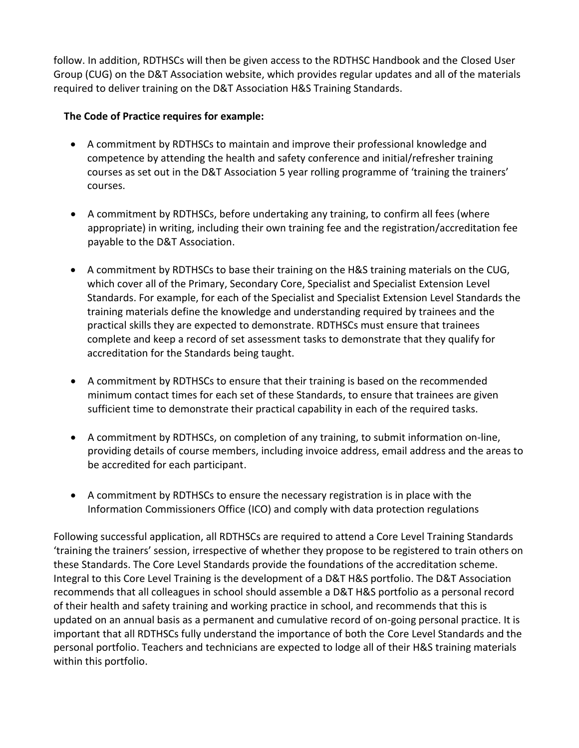follow. In addition, RDTHSCs will then be given access to the RDTHSC Handbook and the Closed User Group (CUG) on the D&T Association website, which provides regular updates and all of the materials required to deliver training on the D&T Association H&S Training Standards.

### **The Code of Practice requires for example:**

- A commitment by RDTHSCs to maintain and improve their professional knowledge and competence by attending the health and safety conference and initial/refresher training courses as set out in the D&T Association 5 year rolling programme of 'training the trainers' courses.
- A commitment by RDTHSCs, before undertaking any training, to confirm all fees (where appropriate) in writing, including their own training fee and the registration/accreditation fee payable to the D&T Association.
- A commitment by RDTHSCs to base their training on the H&S training materials on the CUG, which cover all of the Primary, Secondary Core, Specialist and Specialist Extension Level Standards. For example, for each of the Specialist and Specialist Extension Level Standards the training materials define the knowledge and understanding required by trainees and the practical skills they are expected to demonstrate. RDTHSCs must ensure that trainees complete and keep a record of set assessment tasks to demonstrate that they qualify for accreditation for the Standards being taught.
- A commitment by RDTHSCs to ensure that their training is based on the recommended minimum contact times for each set of these Standards, to ensure that trainees are given sufficient time to demonstrate their practical capability in each of the required tasks.
- A commitment by RDTHSCs, on completion of any training, to submit information on-line, providing details of course members, including invoice address, email address and the areas to be accredited for each participant.
- A commitment by RDTHSCs to ensure the necessary registration is in place with the Information Commissioners Office (ICO) and comply with data protection regulations

Following successful application, all RDTHSCs are required to attend a Core Level Training Standards 'training the trainers' session, irrespective of whether they propose to be registered to train others on these Standards. The Core Level Standards provide the foundations of the accreditation scheme. Integral to this Core Level Training is the development of a D&T H&S portfolio. The D&T Association recommends that all colleagues in school should assemble a D&T H&S portfolio as a personal record of their health and safety training and working practice in school, and recommends that this is updated on an annual basis as a permanent and cumulative record of on-going personal practice. It is important that all RDTHSCs fully understand the importance of both the Core Level Standards and the personal portfolio. Teachers and technicians are expected to lodge all of their H&S training materials within this portfolio.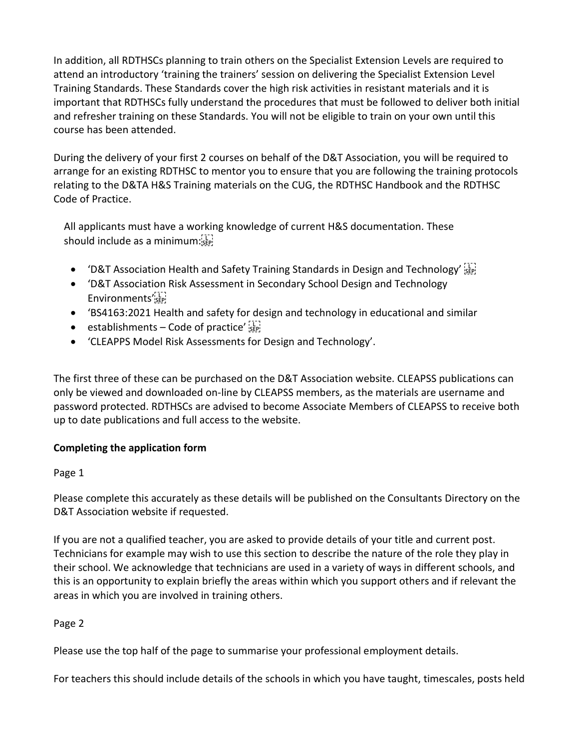In addition, all RDTHSCs planning to train others on the Specialist Extension Levels are required to attend an introductory 'training the trainers' session on delivering the Specialist Extension Level Training Standards. These Standards cover the high risk activities in resistant materials and it is important that RDTHSCs fully understand the procedures that must be followed to deliver both initial and refresher training on these Standards. You will not be eligible to train on your own until this course has been attended.

During the delivery of your first 2 courses on behalf of the D&T Association, you will be required to arrange for an existing RDTHSC to mentor you to ensure that you are following the training protocols relating to the D&TA H&S Training materials on the CUG, the RDTHSC Handbook and the RDTHSC Code of Practice.

All applicants must have a working knowledge of current H&S documentation. These should include as a minimum:

- 'D&T Association Health and Safety Training Standards in Design and Technology  $\sum_{s \in \mathbb{N}}$
- 'D&T Association Risk Assessment in Secondary School Design and Technology Environments'
- 'BS4163:2021 Health and safety for design and technology in educational and similar
- establishments Code of practice'  $\frac{1}{25}$
- 'CLEAPPS Model Risk Assessments for Design and Technology'.

The first three of these can be purchased on the D&T Association website. CLEAPSS publications can only be viewed and downloaded on-line by CLEAPSS members, as the materials are username and password protected. RDTHSCs are advised to become Associate Members of CLEAPSS to receive both up to date publications and full access to the website.

## **Completing the application form**

### Page 1

Please complete this accurately as these details will be published on the Consultants Directory on the D&T Association website if requested.

If you are not a qualified teacher, you are asked to provide details of your title and current post. Technicians for example may wish to use this section to describe the nature of the role they play in their school. We acknowledge that technicians are used in a variety of ways in different schools, and this is an opportunity to explain briefly the areas within which you support others and if relevant the areas in which you are involved in training others.

## Page 2

Please use the top half of the page to summarise your professional employment details.

For teachers this should include details of the schools in which you have taught, timescales, posts held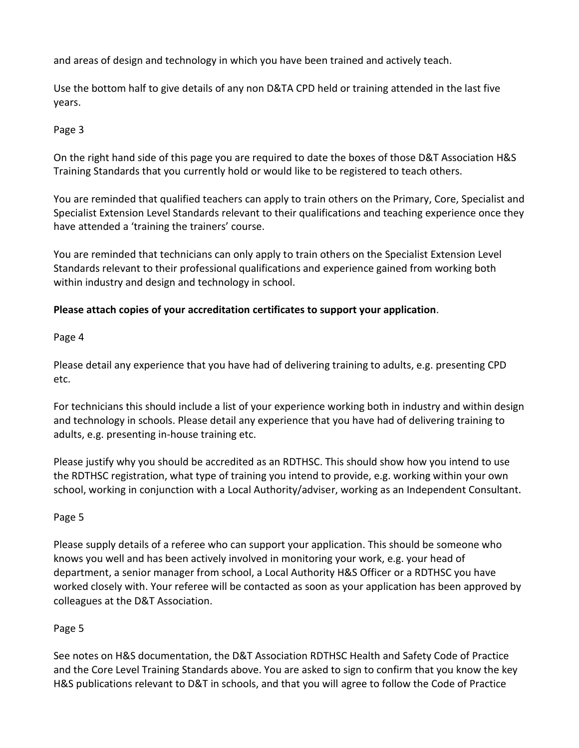and areas of design and technology in which you have been trained and actively teach.

Use the bottom half to give details of any non D&TA CPD held or training attended in the last five years.

## Page 3

On the right hand side of this page you are required to date the boxes of those D&T Association H&S Training Standards that you currently hold or would like to be registered to teach others.

You are reminded that qualified teachers can apply to train others on the Primary, Core, Specialist and Specialist Extension Level Standards relevant to their qualifications and teaching experience once they have attended a 'training the trainers' course.

You are reminded that technicians can only apply to train others on the Specialist Extension Level Standards relevant to their professional qualifications and experience gained from working both within industry and design and technology in school.

## **Please attach copies of your accreditation certificates to support your application**.

Page 4

Please detail any experience that you have had of delivering training to adults, e.g. presenting CPD etc.

For technicians this should include a list of your experience working both in industry and within design and technology in schools. Please detail any experience that you have had of delivering training to adults, e.g. presenting in-house training etc.

Please justify why you should be accredited as an RDTHSC. This should show how you intend to use the RDTHSC registration, what type of training you intend to provide, e.g. working within your own school, working in conjunction with a Local Authority/adviser, working as an Independent Consultant.

## Page 5

Please supply details of a referee who can support your application. This should be someone who knows you well and has been actively involved in monitoring your work, e.g. your head of department, a senior manager from school, a Local Authority H&S Officer or a RDTHSC you have worked closely with. Your referee will be contacted as soon as your application has been approved by colleagues at the D&T Association.

# Page 5

See notes on H&S documentation, the D&T Association RDTHSC Health and Safety Code of Practice and the Core Level Training Standards above. You are asked to sign to confirm that you know the key H&S publications relevant to D&T in schools, and that you will agree to follow the Code of Practice